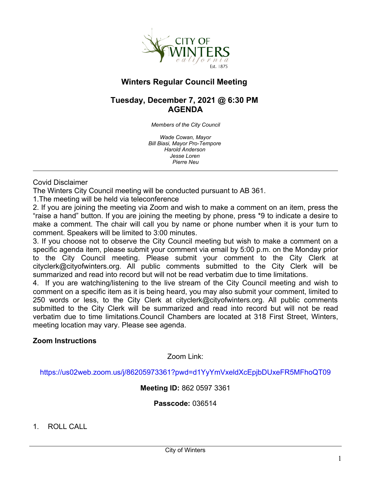

# **Winters Regular Council Meeting**

# **Tuesday, December 7, 2021 @ 6:30 PM AGENDA**

*Members of the City Council*

*Wade Cowan, Mayor Bill Biasi, Mayor Pro-Tempore Harold Anderson Jesse Loren Pierre Neu*

Covid Disclaimer

The Winters City Council meeting will be conducted pursuant to AB 361.

1.The meeting will be held via teleconference

2. If you are joining the meeting via Zoom and wish to make a comment on an item, press the "raise a hand" button. If you are joining the meeting by phone, press \*9 to indicate a desire to make a comment. The chair will call you by name or phone number when it is your turn to comment. Speakers will be limited to 3:00 minutes.

3. If you choose not to observe the City Council meeting but wish to make a comment on a specific agenda item, please submit your comment via email by 5:00 p.m. on the Monday prior to the City Council meeting. Please submit your comment to the City Clerk at cityclerk@cityofwinters.org. All public comments submitted to the City Clerk will be summarized and read into record but will not be read verbatim due to time limitations.

4. If you are watching/listening to the live stream of the City Council meeting and wish to comment on a specific item as it is being heard, you may also submit your comment, limited to 250 words or less, to the City Clerk at cityclerk@cityofwinters.org. All public comments submitted to the City Clerk will be summarized and read into record but will not be read verbatim due to time limitations.Council Chambers are located at 318 First Street, Winters, meeting location may vary. Please see agenda.

## **Zoom Instructions**

Zoom Link:

<https://us02web.zoom.us/j/86205973361?pwd=d1YyYmVxeldXcEpjbDUxeFR5MFhoQT09>

**Meeting ID:** 862 0597 3361

**Passcode:** 036514

1. ROLL CALL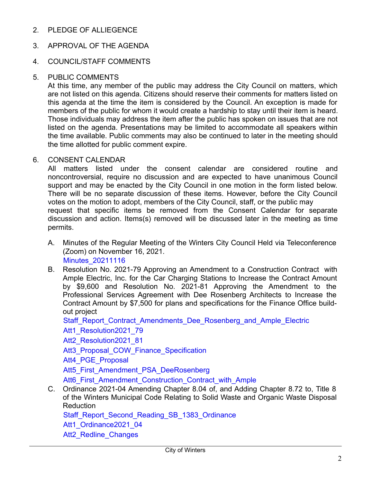2. PLEDGE OF ALLIEGENCE

## 3. APPROVAL OF THE AGENDA

### 4. COUNCIL/STAFF COMMENTS

### 5. PUBLIC COMMENTS

At this time, any member of the public may address the City Council on matters, which are not listed on this agenda. Citizens should reserve their comments for matters listed on this agenda at the time the item is considered by the Council. An exception is made for members of the public for whom it would create a hardship to stay until their item is heard. Those individuals may address the item after the public has spoken on issues that are not listed on the agenda. Presentations may be limited to accommodate all speakers within the time available. Public comments may also be continued to later in the meeting should the time allotted for public comment expire.

#### 6. CONSENT CALENDAR

All matters listed under the consent calendar are considered routine and noncontroversial, require no discussion and are expected to have unanimous Council support and may be enacted by the City Council in one motion in the form listed below. There will be no separate discussion of these items. However, before the City Council votes on the motion to adopt, members of the City Council, staff, or the public may request that specific items be removed from the Consent Calendar for separate discussion and action. Items(s) removed will be discussed later in the meeting as time permits.

- A. Minutes of the Regular Meeting of the Winters City Council Held via Teleconference (Zoom) on November 16, 2021. [Minutes\\_20211116](https://legistarweb-production.s3.amazonaws.com/uploads/attachment/pdf/1159124/20211116Minutes__1_.pdf)
- B. Resolution No. 2021-79 Approving an Amendment to a Construction Contract with
- Ample Electric, Inc. for the Car Charging Stations to Increase the Contract Amount by \$9,600 and Resolution No. 2021-81 Approving the Amendment to the Professional Services Agreement with Dee Rosenberg Architects to Increase the Contract Amount by \$7,500 for plans and specifications for the Finance Office buildout project

Staff Report Contract Amendments Dee Rosenberg and Ample Electric

[Att1\\_Resolution2021\\_79](https://legistarweb-production.s3.amazonaws.com/uploads/attachment/pdf/1163311/Resolution_Amending_Contract_for_Car_Charging_Stations__1_.pdf)

[Att2\\_Resolution2021\\_81](https://legistarweb-production.s3.amazonaws.com/uploads/attachment/pdf/1163317/Resolution_Amending_Contract_for_Plan_Design_for_New_Finance_Office__1_.pdf)

Att3 Proposal COW Finance Specification

[Att4\\_PGE\\_Proposal](https://legistarweb-production.s3.amazonaws.com/uploads/attachment/pdf/1133178/Quote_for_PG_E_application.pdf)

[Att5\\_First\\_Amendment\\_PSA\\_DeeRosenberg](https://legistarweb-production.s3.amazonaws.com/uploads/attachment/pdf/1163331/First_Amendment_to_PSA_with_Dee_Rosenberg__1_.pdf)

[Att6\\_First\\_Amendment\\_Construction\\_Contract\\_with\\_Ample](https://legistarweb-production.s3.amazonaws.com/uploads/attachment/pdf/1163344/Winters__First_Amendment_to_Construction_Contract_with_Ample_re_Car_Charging_Stations__1_.pdf)

C. Ordinance 2021-04 Amending Chapter 8.04 of, and Adding Chapter 8.72 to, Title 8 of the Winters Municipal Code Relating to Solid Waste and Organic Waste Disposal Reduction

Staff Report Second Reading SB 1383 Ordinance

[Att1\\_Ordinance2021\\_04](https://legistarweb-production.s3.amazonaws.com/uploads/attachment/pdf/1158104/Winters_SB_1383_Ordinance_2nd_reading.pdf)

Att2 Redline Changes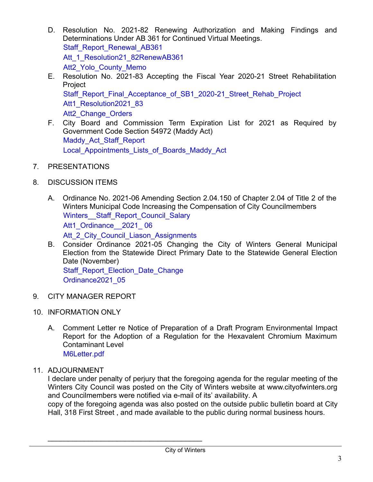- D. Resolution No. 2021-82 Renewing Authorization and Making Findings and Determinations Under AB 361 for Continued Virtual Meetings. [Staff\\_Report\\_Renewal\\_AB361](https://legistarweb-production.s3.amazonaws.com/uploads/attachment/pdf/1142964/Staff_Report_Renewal_AB361.pdf) Att 1 Resolution21 82RenewAB361 Att2 Yolo County Memo
- E. Resolution No. 2021-83 Accepting the Fiscal Year 2020-21 Street Rehabilitation Project Staff Report Final Acceptance of SB1 2020-21 Street Rehab Project [Att1\\_Resolution2021\\_83](https://legistarweb-production.s3.amazonaws.com/uploads/attachment/pdf/1163387/12-7-21_2020-21_Street_Rehab_Project_Final_Acceptance_Resolution__1___1_.pdf) Att2 Change Orders
- F. City Board and Commission Term Expiration List for 2021 as Required by Government Code Section 54972 (Maddy Act) Maddy Act Staff Report [Local\\_Appointments\\_Lists\\_of\\_Boards\\_Maddy\\_Act](https://legistarweb-production.s3.amazonaws.com/uploads/attachment/pdf/1157208/2021_Local_Appointments_Lists_of_Boards-maddy_act__1_.pdf)
- 7. PRESENTATIONS
- 8. DISCUSSION ITEMS
	- A. Ordinance No. 2021-06 Amending Section 2.04.150 of Chapter 2.04 of Title 2 of the Winters Municipal Code Increasing the Compensation of City Councilmembers Winters Staff Report Council Salary Att1\_Ordinance 2021\_06 Att 2 City Council Liason Assignments
	- B. Consider Ordinance 2021-05 Changing the City of Winters General Municipal Election from the Statewide Direct Primary Date to the Statewide General Election Date (November) [Staff\\_Report\\_Election\\_Date\\_Change](https://legistarweb-production.s3.amazonaws.com/uploads/attachment/pdf/1163486/REVISED__Winters__Election_Date_Change_Staff_Report__1_.pdf) [Ordinance2021\\_05](https://legistarweb-production.s3.amazonaws.com/uploads/attachment/pdf/1163571/REVISED_Winters_-_Ordinance_Changing_Date_of_General_Municipal_Election_From_Statewide_Primary_Date_to_Statewide_General_Date_in_November__2021___2___1___2_.pdf)
- 9. CITY MANAGER REPORT
- 10. INFORMATION ONLY
	- A. Comment Letter re Notice of Preparation of a Draft Program Environmental Impact Report for the Adoption of a Regulation for the Hexavalent Chromium Maximum Contaminant Level [M6Letter.pdf](https://legistarweb-production.s3.amazonaws.com/uploads/attachment/pdf/1163744/M6Letter.pdf)

# 11. ADJOURNMENT

I declare under penalty of perjury that the foregoing agenda for the regular meeting of the Winters City Council was posted on the City of Winters website at www.cityofwinters.org and Councilmembers were notified via e-mail of its' availability. A

copy of the foregoing agenda was also posted on the outside public bulletin board at City Hall, 318 First Street , and made available to the public during normal business hours.

\_\_\_\_\_\_\_\_\_\_\_\_\_\_\_\_\_\_\_\_\_\_\_\_\_\_\_\_\_\_\_\_\_\_\_\_\_\_